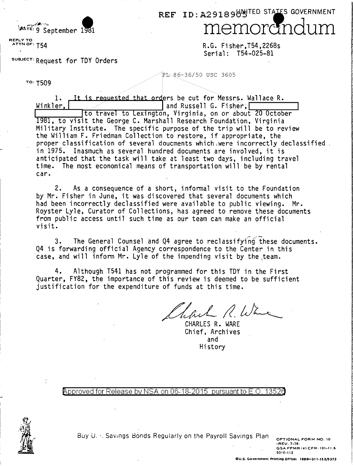REF ID: A291896 HITED STATES GOVERNMENT memording

REPLY TO ATTN OF: T54

بمطالب

TO: T509

SUBJECT: Request for TDY Orders

MATE: 9 September 1981

R.G. Fisher,T54,2268s Serial: T54-025-81

PL86-36/50 USC 3605

1. It is requested that orders be cut for Messrs. Wallace R.<br>Winkler. ... w\_i\_n\_k\_l e ..... r\_.\_.\_\_\_,.,....;;.....,.....----........ --.---..,....... and Russe 11 G. Fi s ~er~~I ~~--:--~-- 1981, to visit the George C. Marshall Research Foundation, Virginia Military Institute. The specific purpose of the trip will be to review the William F. Friedman Collection to restore, if appropriate, the proper classification of several doucments which were incorrectly declassified. in 1975. Inasmuch as several hundred documents are involved, it is anticipated that the task will take at least two days, including travel time. The most economical means of transportation will be by rental car.

2. As a consequence of a short, informal visit to the Foundation by Mr. Fisher in June, it was discovered that several documents which had been incorrectly declassified were available to public viewing. Mr. Royster Lyle, Curator of Collections, has agreed to remove these documents from public access until such time as our team can make an official visit.

3. The General Counsel and 04 agree to reclassifying these documents. Q4 is forwarding official Agency correspondence to the Center in this case, and will inform Mr. Lyle of the impending visit by the team.

4. Although T541 has not programmed for this TOY in the First Quarter, FY82, tbe importance of this review is deemed to be sufficient justification for the expenditure of funds at this time.

Thefuch R. Wa

Chief, Archives and Hi story

Approved for Release by NSA on 06-18-2015 pursuant to E.O. 1352d



Buy U. ··. Savings Bonds Regularly on the Payroll Savings Plan OPTIONAL FORM NO. 10<br>• REV. 7-76• GSA FPMR <41 CFR+101-11.6<br>• GSA FPMR <41 CFR+101-11.6

~010-112